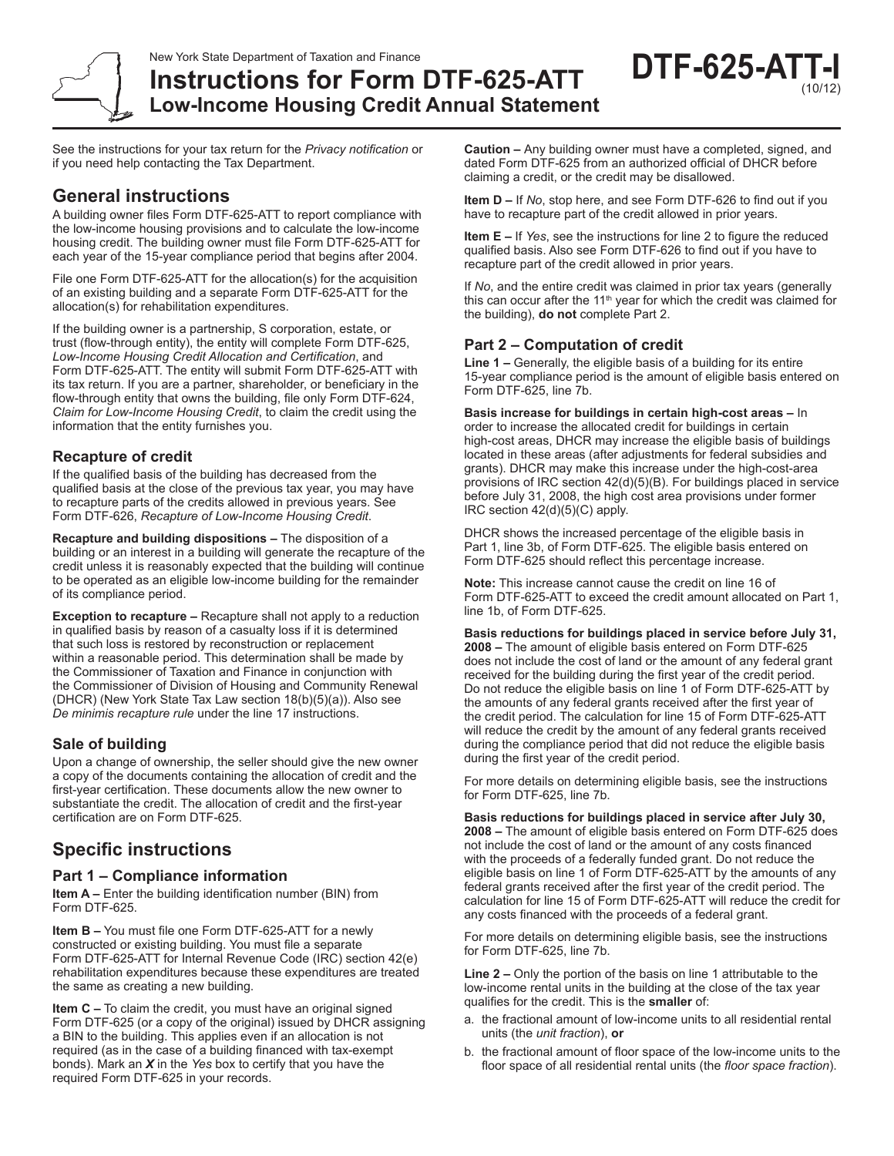

**Instructions for Form DTF-625-ATT Low-Income Housing Credit Annual Statement** **DTF-625-ATT-I** (10/12)

See the instructions for your tax return for the *Privacy notification* or if you need help contacting the Tax Department.

# **General instructions**

A building owner files Form DTF-625-ATT to report compliance with the low-income housing provisions and to calculate the low-income housing credit. The building owner must file Form DTF-625-ATT for each year of the 15-year compliance period that begins after 2004.

File one Form DTF-625-ATT for the allocation(s) for the acquisition of an existing building and a separate Form DTF-625-ATT for the allocation(s) for rehabilitation expenditures.

If the building owner is a partnership, S corporation, estate, or trust (flow-through entity), the entity will complete Form DTF-625, *Low‑Income Housing Credit Allocation and Certification*, and Form DTF‑625‑ATT. The entity will submit Form DTF-625-ATT with its tax return. If you are a partner, shareholder, or beneficiary in the flow-through entity that owns the building, file only Form DTF-624, *Claim for Low-Income Housing Credit*, to claim the credit using the information that the entity furnishes you.

## **Recapture of credit**

If the qualified basis of the building has decreased from the qualified basis at the close of the previous tax year, you may have to recapture parts of the credits allowed in previous years. See Form DTF-626, *Recapture of Low-Income Housing Credit*.

**Recapture and building dispositions –** The disposition of a building or an interest in a building will generate the recapture of the credit unless it is reasonably expected that the building will continue to be operated as an eligible low-income building for the remainder of its compliance period.

**Exception to recapture –** Recapture shall not apply to a reduction in qualified basis by reason of a casualty loss if it is determined that such loss is restored by reconstruction or replacement within a reasonable period. This determination shall be made by the Commissioner of Taxation and Finance in conjunction with the Commissioner of Division of Housing and Community Renewal (DHCR) (New York State Tax Law section 18(b)(5)(a)). Also see *De minimis recapture rule* under the line 17 instructions.

### **Sale of building**

Upon a change of ownership, the seller should give the new owner a copy of the documents containing the allocation of credit and the first-year certification. These documents allow the new owner to substantiate the credit. The allocation of credit and the first-year certification are on Form DTF-625.

# **Specific instructions**

### **Part 1 – Compliance information**

**Item A –** Enter the building identification number (BIN) from Form DTF-625.

**Item B –** You must file one Form DTF-625-ATT for a newly constructed or existing building. You must file a separate Form DTF-625-ATT for Internal Revenue Code (IRC) section 42(e) rehabilitation expenditures because these expenditures are treated the same as creating a new building.

**Item C –** To claim the credit, you must have an original signed Form DTF-625 (or a copy of the original) issued by DHCR assigning a BIN to the building. This applies even if an allocation is not required (as in the case of a building financed with tax-exempt bonds). Mark an *X* in the *Yes* box to certify that you have the required Form DTF-625 in your records.

**Caution –** Any building owner must have a completed, signed, and dated Form DTF-625 from an authorized official of DHCR before claiming a credit, or the credit may be disallowed.

**Item D –** If *No*, stop here, and see Form DTF-626 to find out if you have to recapture part of the credit allowed in prior years.

**Item E –** If *Yes*, see the instructions for line 2 to figure the reduced qualified basis. Also see Form DTF-626 to find out if you have to recapture part of the credit allowed in prior years.

If *No*, and the entire credit was claimed in prior tax years (generally this can occur after the 11<sup>th</sup> year for which the credit was claimed for the building), **do not** complete Part 2.

## **Part 2 – Computation of credit**

**Line 1 –** Generally, the eligible basis of a building for its entire 15-year compliance period is the amount of eligible basis entered on Form DTF-625, line 7b.

**Basis increase for buildings in certain high-cost areas –** In order to increase the allocated credit for buildings in certain high-cost areas, DHCR may increase the eligible basis of buildings located in these areas (after adjustments for federal subsidies and grants). DHCR may make this increase under the high-cost-area provisions of IRC section 42(d)(5)(B). For buildings placed in service before July 31, 2008, the high cost area provisions under former IRC section 42(d)(5)(C) apply.

DHCR shows the increased percentage of the eligible basis in Part 1, line 3b, of Form DTF-625. The eligible basis entered on Form DTF-625 should reflect this percentage increase.

**Note:** This increase cannot cause the credit on line 16 of Form DTF-625-ATT to exceed the credit amount allocated on Part 1, line 1b, of Form DTF-625.

**Basis reductions for buildings placed in service before July 31, 2008 –** The amount of eligible basis entered on Form DTF-625 does not include the cost of land or the amount of any federal grant received for the building during the first year of the credit period. Do not reduce the eligible basis on line 1 of Form DTF-625-ATT by the amounts of any federal grants received after the first year of the credit period. The calculation for line 15 of Form DTF-625-ATT will reduce the credit by the amount of any federal grants received during the compliance period that did not reduce the eligible basis during the first year of the credit period.

For more details on determining eligible basis, see the instructions for Form DTF-625, line 7b.

**Basis reductions for buildings placed in service after July 30, 2008 –** The amount of eligible basis entered on Form DTF-625 does not include the cost of land or the amount of any costs financed with the proceeds of a federally funded grant. Do not reduce the eligible basis on line 1 of Form DTF-625-ATT by the amounts of any federal grants received after the first year of the credit period. The calculation for line 15 of Form DTF-625-ATT will reduce the credit for any costs financed with the proceeds of a federal grant.

For more details on determining eligible basis, see the instructions for Form DTF-625, line 7b.

**Line 2 –** Only the portion of the basis on line 1 attributable to the low-income rental units in the building at the close of the tax year qualifies for the credit. This is the **smaller** of:

- a. the fractional amount of low-income units to all residential rental units (the *unit fraction*), **or**
- b. the fractional amount of floor space of the low-income units to the floor space of all residential rental units (the *floor space fraction*).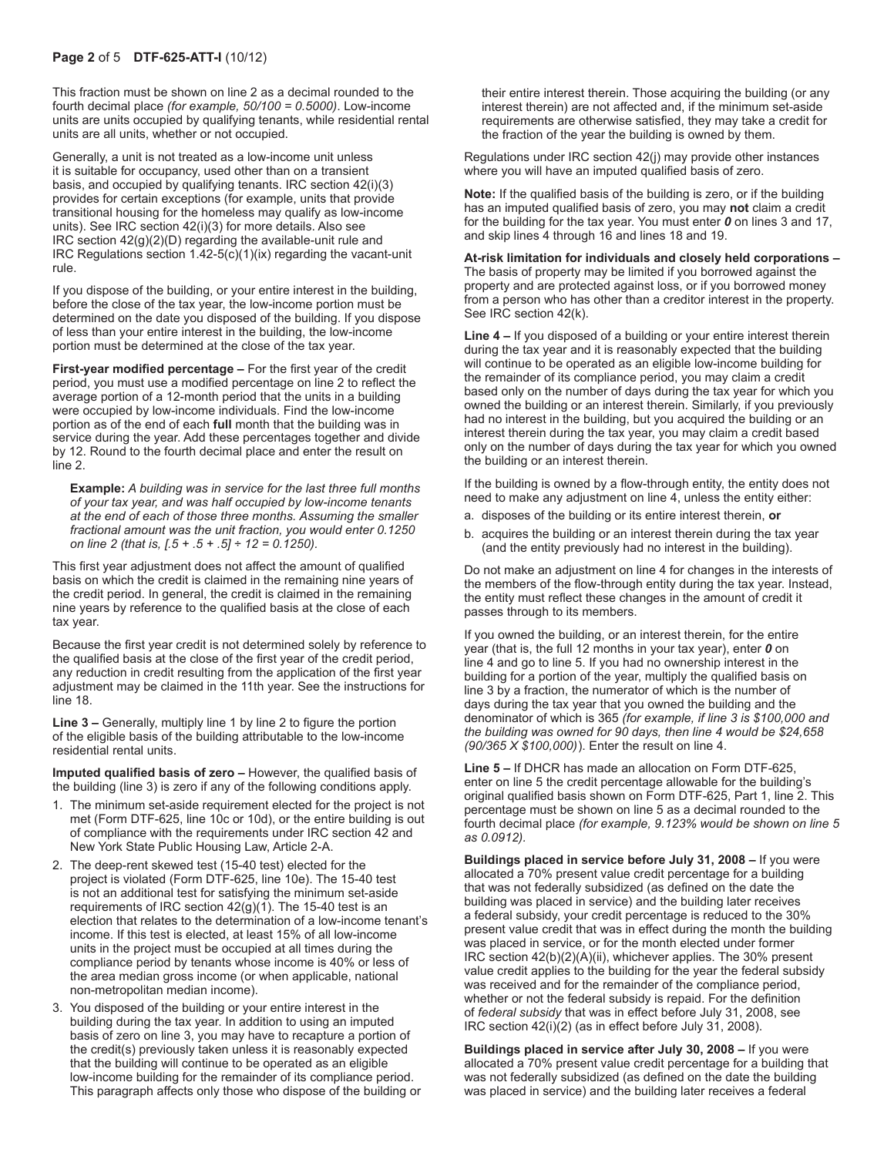#### **Page 2** of 5 **DTF-625-ATT-I** (10/12)

This fraction must be shown on line 2 as a decimal rounded to the fourth decimal place *(for example, 50/100 = 0.5000)*. Low-income units are units occupied by qualifying tenants, while residential rental units are all units, whether or not occupied.

Generally, a unit is not treated as a low-income unit unless it is suitable for occupancy, used other than on a transient basis, and occupied by qualifying tenants. IRC section 42(i)(3) provides for certain exceptions (for example, units that provide transitional housing for the homeless may qualify as low-income units). See IRC section 42(i)(3) for more details. Also see IRC section 42(g)(2)(D) regarding the available‑unit rule and IRC Regulations section  $1.42-5(c)(1)(ix)$  regarding the vacant-unit rule.

If you dispose of the building, or your entire interest in the building, before the close of the tax year, the low-income portion must be determined on the date you disposed of the building. If you dispose of less than your entire interest in the building, the low-income portion must be determined at the close of the tax year.

**First-year modified percentage –** For the first year of the credit period, you must use a modified percentage on line 2 to reflect the average portion of a 12-month period that the units in a building were occupied by low-income individuals. Find the low-income portion as of the end of each **full** month that the building was in service during the year. Add these percentages together and divide by 12. Round to the fourth decimal place and enter the result on line 2.

**Example:** *A building was in service for the last three full months of your tax year, and was half occupied by low-income tenants at the end of each of those three months. Assuming the smaller fractional amount was the unit fraction, you would enter 0.1250 on line 2 (that is, [.5 + .5 + .5] ÷ 12 = 0.1250).*

This first year adjustment does not affect the amount of qualified basis on which the credit is claimed in the remaining nine years of the credit period. In general, the credit is claimed in the remaining nine years by reference to the qualified basis at the close of each tax year.

Because the first year credit is not determined solely by reference to the qualified basis at the close of the first year of the credit period, any reduction in credit resulting from the application of the first year adjustment may be claimed in the 11th year. See the instructions for line 18.

**Line 3 –** Generally, multiply line 1 by line 2 to figure the portion of the eligible basis of the building attributable to the low-income residential rental units.

**Imputed qualified basis of zero –** However, the qualified basis of the building (line 3) is zero if any of the following conditions apply.

- 1. The minimum set-aside requirement elected for the project is not met (Form DTF-625, line 10c or 10d), or the entire building is out of compliance with the requirements under IRC section 42 and New York State Public Housing Law, Article 2-A.
- 2. The deep-rent skewed test (15-40 test) elected for the project is violated (Form DTF-625, line 10e). The 15-40 test is not an additional test for satisfying the minimum set-aside requirements of IRC section 42(g)(1). The 15-40 test is an election that relates to the determination of a low-income tenant's income. If this test is elected, at least 15% of all low-income units in the project must be occupied at all times during the compliance period by tenants whose income is 40% or less of the area median gross income (or when applicable, national non-metropolitan median income).
- 3. You disposed of the building or your entire interest in the building during the tax year. In addition to using an imputed basis of zero on line 3, you may have to recapture a portion of the credit(s) previously taken unless it is reasonably expected that the building will continue to be operated as an eligible low-income building for the remainder of its compliance period. This paragraph affects only those who dispose of the building or

their entire interest therein. Those acquiring the building (or any interest therein) are not affected and, if the minimum set-aside requirements are otherwise satisfied, they may take a credit for the fraction of the year the building is owned by them.

Regulations under IRC section 42(j) may provide other instances where you will have an imputed qualified basis of zero.

**Note:** If the qualified basis of the building is zero, or if the building has an imputed qualified basis of zero, you may **not** claim a credit for the building for the tax year. You must enter *0* on lines 3 and 17, and skip lines 4 through 16 and lines 18 and 19.

#### **At-risk limitation for individuals and closely held corporations –** The basis of property may be limited if you borrowed against the property and are protected against loss, or if you borrowed money from a person who has other than a creditor interest in the property. See IRC section 42(k).

**Line 4 –** If you disposed of a building or your entire interest therein during the tax year and it is reasonably expected that the building will continue to be operated as an eligible low-income building for the remainder of its compliance period, you may claim a credit based only on the number of days during the tax year for which you owned the building or an interest therein. Similarly, if you previously had no interest in the building, but you acquired the building or an interest therein during the tax year, you may claim a credit based only on the number of days during the tax year for which you owned the building or an interest therein.

If the building is owned by a flow-through entity, the entity does not need to make any adjustment on line 4, unless the entity either:

- a. disposes of the building or its entire interest therein, **or**
- b. acquires the building or an interest therein during the tax year (and the entity previously had no interest in the building).

Do not make an adjustment on line 4 for changes in the interests of the members of the flow-through entity during the tax year. Instead, the entity must reflect these changes in the amount of credit it passes through to its members.

If you owned the building, or an interest therein, for the entire year (that is, the full 12 months in your tax year), enter *0* on line 4 and go to line 5. If you had no ownership interest in the building for a portion of the year, multiply the qualified basis on line 3 by a fraction, the numerator of which is the number of days during the tax year that you owned the building and the denominator of which is 365 *(for example, if line 3 is \$100,000 and the building was owned for 90 days, then line 4 would be \$24,658 (90/365 X \$100,000)*). Enter the result on line 4.

**Line 5 –** If DHCR has made an allocation on Form DTF-625, enter on line 5 the credit percentage allowable for the building's original qualified basis shown on Form DTF-625, Part 1, line 2. This percentage must be shown on line 5 as a decimal rounded to the fourth decimal place *(for example, 9.123% would be shown on line 5 as 0.0912).*

**Buildings placed in service before July 31, 2008 –** If you were allocated a 70% present value credit percentage for a building that was not federally subsidized (as defined on the date the building was placed in service) and the building later receives a federal subsidy, your credit percentage is reduced to the 30% present value credit that was in effect during the month the building was placed in service, or for the month elected under former IRC section 42(b)(2)(A)(ii), whichever applies. The 30% present value credit applies to the building for the year the federal subsidy was received and for the remainder of the compliance period, whether or not the federal subsidy is repaid. For the definition of *federal subsidy* that was in effect before July 31, 2008, see IRC section 42(i)(2) (as in effect before July 31, 2008).

**Buildings placed in service after July 30, 2008 –** If you were allocated a 70% present value credit percentage for a building that was not federally subsidized (as defined on the date the building was placed in service) and the building later receives a federal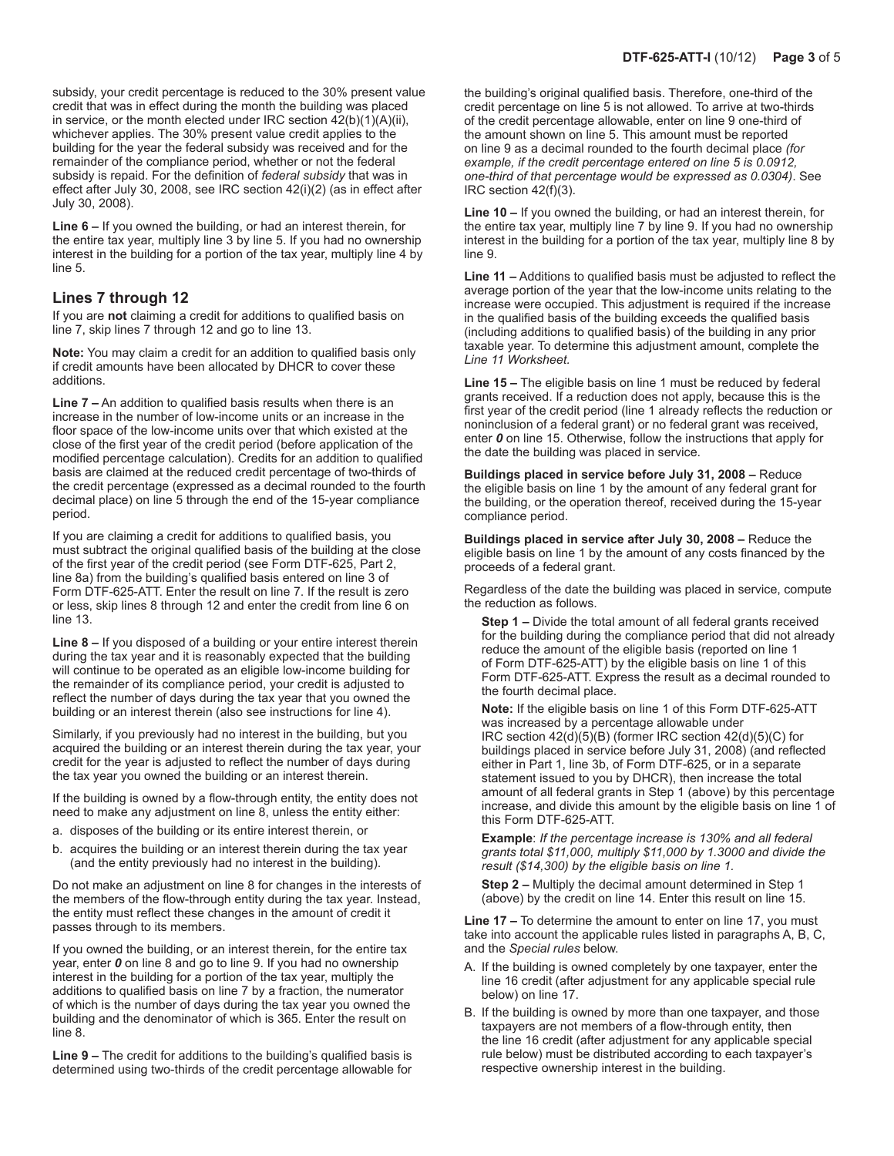subsidy, your credit percentage is reduced to the 30% present value credit that was in effect during the month the building was placed in service, or the month elected under IRC section  $\overline{42(b)(1)(A)(ii)}$ , whichever applies. The 30% present value credit applies to the building for the year the federal subsidy was received and for the remainder of the compliance period, whether or not the federal subsidy is repaid. For the definition of *federal subsidy* that was in effect after July 30, 2008, see IRC section 42(i)(2) (as in effect after July 30, 2008).

**Line 6 –** If you owned the building, or had an interest therein, for the entire tax year, multiply line 3 by line 5. If you had no ownership interest in the building for a portion of the tax year, multiply line 4 by line 5.

#### **Lines 7 through 12**

If you are **not** claiming a credit for additions to qualified basis on line 7, skip lines 7 through 12 and go to line 13.

**Note:** You may claim a credit for an addition to qualified basis only if credit amounts have been allocated by DHCR to cover these additions.

**Line 7 –** An addition to qualified basis results when there is an increase in the number of low-income units or an increase in the floor space of the low-income units over that which existed at the close of the first year of the credit period (before application of the modified percentage calculation). Credits for an addition to qualified basis are claimed at the reduced credit percentage of two-thirds of the credit percentage (expressed as a decimal rounded to the fourth decimal place) on line 5 through the end of the 15-year compliance period.

If you are claiming a credit for additions to qualified basis, you must subtract the original qualified basis of the building at the close of the first year of the credit period (see Form DTF-625, Part 2, line 8a) from the building's qualified basis entered on line 3 of Form DTF-625-ATT. Enter the result on line 7. If the result is zero or less, skip lines 8 through 12 and enter the credit from line 6 on line 13.

**Line 8 –** If you disposed of a building or your entire interest therein during the tax year and it is reasonably expected that the building will continue to be operated as an eligible low-income building for the remainder of its compliance period, your credit is adjusted to reflect the number of days during the tax year that you owned the building or an interest therein (also see instructions for line 4).

Similarly, if you previously had no interest in the building, but you acquired the building or an interest therein during the tax year, your credit for the year is adjusted to reflect the number of days during the tax year you owned the building or an interest therein.

If the building is owned by a flow-through entity, the entity does not need to make any adjustment on line 8, unless the entity either:

- a. disposes of the building or its entire interest therein, or
- b. acquires the building or an interest therein during the tax year (and the entity previously had no interest in the building).

Do not make an adjustment on line 8 for changes in the interests of the members of the flow-through entity during the tax year. Instead, the entity must reflect these changes in the amount of credit it passes through to its members.

If you owned the building, or an interest therein, for the entire tax year, enter *0* on line 8 and go to line 9. If you had no ownership interest in the building for a portion of the tax year, multiply the additions to qualified basis on line 7 by a fraction, the numerator of which is the number of days during the tax year you owned the building and the denominator of which is 365. Enter the result on line 8.

**Line 9 –** The credit for additions to the building's qualified basis is determined using two-thirds of the credit percentage allowable for the building's original qualified basis. Therefore, one-third of the credit percentage on line 5 is not allowed. To arrive at two-thirds of the credit percentage allowable, enter on line 9 one-third of the amount shown on line 5. This amount must be reported on line 9 as a decimal rounded to the fourth decimal place *(for example, if the credit percentage entered on line 5 is 0.0912, one-third of that percentage would be expressed as 0.0304)*. See IRC section 42(f)(3).

**Line 10 –** If you owned the building, or had an interest therein, for the entire tax year, multiply line 7 by line 9. If you had no ownership interest in the building for a portion of the tax year, multiply line 8 by line 9.

**Line 11 –** Additions to qualified basis must be adjusted to reflect the average portion of the year that the low-income units relating to the increase were occupied. This adjustment is required if the increase in the qualified basis of the building exceeds the qualified basis (including additions to qualified basis) of the building in any prior taxable year. To determine this adjustment amount, complete the *Line 11 Worksheet.*

**Line 15 –** The eligible basis on line 1 must be reduced by federal grants received. If a reduction does not apply, because this is the first year of the credit period (line 1 already reflects the reduction or noninclusion of a federal grant) or no federal grant was received, enter *0* on line 15. Otherwise, follow the instructions that apply for the date the building was placed in service.

**Buildings placed in service before July 31, 2008 –** Reduce the eligible basis on line 1 by the amount of any federal grant for the building, or the operation thereof, received during the 15-year compliance period.

**Buildings placed in service after July 30, 2008 –** Reduce the eligible basis on line 1 by the amount of any costs financed by the proceeds of a federal grant.

Regardless of the date the building was placed in service, compute the reduction as follows.

**Step 1 –** Divide the total amount of all federal grants received for the building during the compliance period that did not already reduce the amount of the eligible basis (reported on line 1 of Form DTF-625-ATT) by the eligible basis on line 1 of this Form DTF-625-ATT. Express the result as a decimal rounded to the fourth decimal place.

**Note:** If the eligible basis on line 1 of this Form DTF-625-ATT was increased by a percentage allowable under IRC section 42(d)(5)(B) (former IRC section 42(d)(5)(C) for buildings placed in service before July 31, 2008) (and reflected either in Part 1, line 3b, of Form DTF-625, or in a separate statement issued to you by DHCR), then increase the total amount of all federal grants in Step 1 (above) by this percentage increase, and divide this amount by the eligible basis on line 1 of this Form DTF‑625‑ATT.

**Example**: *If the percentage increase is 130% and all federal grants total \$11,000, multiply \$11,000 by 1.3000 and divide the result (\$14,300) by the eligible basis on line 1.*

**Step 2 –** Multiply the decimal amount determined in Step 1 (above) by the credit on line 14. Enter this result on line 15.

**Line 17 –** To determine the amount to enter on line 17, you must take into account the applicable rules listed in paragraphs A, B, C, and the *Special rules* below.

- A. If the building is owned completely by one taxpayer, enter the line 16 credit (after adjustment for any applicable special rule below) on line 17.
- B. If the building is owned by more than one taxpayer, and those taxpayers are not members of a flow-through entity, then the line 16 credit (after adjustment for any applicable special rule below) must be distributed according to each taxpayer's respective ownership interest in the building.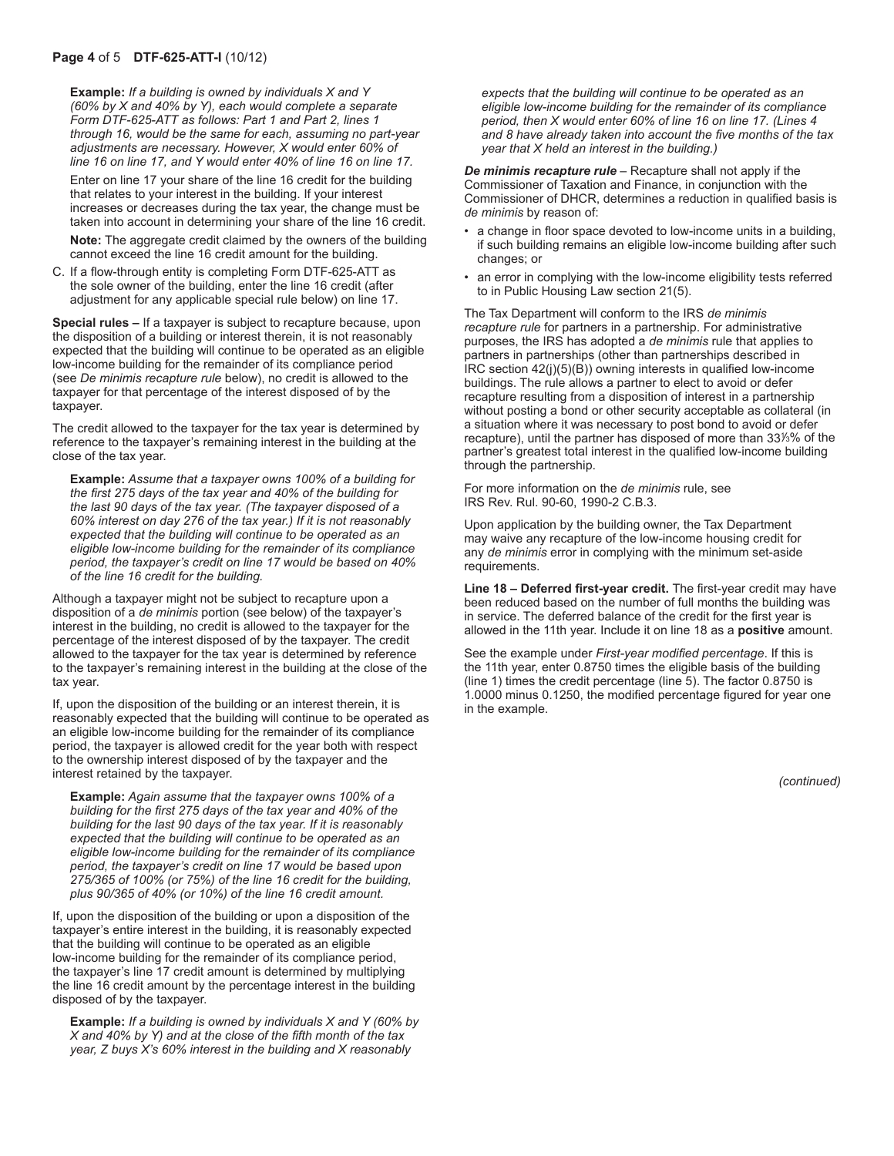**Example:** *If a building is owned by individuals X and Y (60% by X and 40% by Y), each would complete a separate Form DTF-625-ATT as follows: Part 1 and Part 2, lines 1 through 16, would be the same for each, assuming no part-year adjustments are necessary. However, X would enter 60% of line 16 on line 17, and Y would enter 40% of line 16 on line 17.*

Enter on line 17 your share of the line 16 credit for the building that relates to your interest in the building. If your interest increases or decreases during the tax year, the change must be taken into account in determining your share of the line 16 credit.

**Note:** The aggregate credit claimed by the owners of the building cannot exceed the line 16 credit amount for the building.

C. If a flow-through entity is completing Form DTF‑625‑ATT as the sole owner of the building, enter the line 16 credit (after adjustment for any applicable special rule below) on line 17.

**Special rules –** If a taxpayer is subject to recapture because, upon the disposition of a building or interest therein, it is not reasonably expected that the building will continue to be operated as an eligible low-income building for the remainder of its compliance period (see *De minimis recapture rule* below), no credit is allowed to the taxpayer for that percentage of the interest disposed of by the taxpayer.

The credit allowed to the taxpayer for the tax year is determined by reference to the taxpayer's remaining interest in the building at the close of the tax year.

**Example:** *Assume that a taxpayer owns 100% of a building for the first 275 days of the tax year and 40% of the building for the last 90 days of the tax year. (The taxpayer disposed of a 60% interest on day 276 of the tax year.) If it is not reasonably expected that the building will continue to be operated as an eligible low-income building for the remainder of its compliance period, the taxpayer's credit on line 17 would be based on 40% of the line 16 credit for the building.*

Although a taxpayer might not be subject to recapture upon a disposition of a *de minimis* portion (see below) of the taxpayer's interest in the building, no credit is allowed to the taxpayer for the percentage of the interest disposed of by the taxpayer. The credit allowed to the taxpayer for the tax year is determined by reference to the taxpayer's remaining interest in the building at the close of the tax year.

If, upon the disposition of the building or an interest therein, it is reasonably expected that the building will continue to be operated as an eligible low-income building for the remainder of its compliance period, the taxpayer is allowed credit for the year both with respect to the ownership interest disposed of by the taxpayer and the interest retained by the taxpayer.

**Example:** *Again assume that the taxpayer owns 100% of a building for the first 275 days of the tax year and 40% of the building for the last 90 days of the tax year. If it is reasonably expected that the building will continue to be operated as an eligible low-income building for the remainder of its compliance period, the taxpayer's credit on line 17 would be based upon 275/365 of 100% (or 75%) of the line 16 credit for the building, plus 90/365 of 40% (or 10%) of the line 16 credit amount.*

If, upon the disposition of the building or upon a disposition of the taxpayer's entire interest in the building, it is reasonably expected that the building will continue to be operated as an eligible low-income building for the remainder of its compliance period, the taxpayer's line 17 credit amount is determined by multiplying the line 16 credit amount by the percentage interest in the building disposed of by the taxpayer.

**Example:** *If a building is owned by individuals X and Y (60% by X and 40% by Y) and at the close of the fifth month of the tax year, Z buys X's 60% interest in the building and X reasonably* 

*expects that the building will continue to be operated as an eligible low-income building for the remainder of its compliance period, then X would enter 60% of line 16 on line 17. (Lines 4 and 8 have already taken into account the five months of the tax year that X held an interest in the building.)*

*De minimis recapture rule* – Recapture shall not apply if the Commissioner of Taxation and Finance, in conjunction with the Commissioner of DHCR, determines a reduction in qualified basis is *de minimis* by reason of:

- a change in floor space devoted to low-income units in a building, if such building remains an eligible low-income building after such changes; or
- an error in complying with the low-income eligibility tests referred to in Public Housing Law section 21(5).

The Tax Department will conform to the IRS *de minimis recapture rule* for partners in a partnership. For administrative purposes, the IRS has adopted a *de minimis* rule that applies to partners in partnerships (other than partnerships described in IRC section 42(j)(5)(B)) owning interests in qualified low-income buildings. The rule allows a partner to elect to avoid or defer recapture resulting from a disposition of interest in a partnership without posting a bond or other security acceptable as collateral (in a situation where it was necessary to post bond to avoid or defer recapture), until the partner has disposed of more than 33<sup>1</sup> */*3% of the partner's greatest total interest in the qualified low-income building through the partnership.

For more information on the *de minimis* rule, see IRS Rev. Rul. 90-60, 1990-2 C.B.3.

Upon application by the building owner, the Tax Department may waive any recapture of the low-income housing credit for any *de minimis* error in complying with the minimum set-aside requirements.

**Line 18 – Deferred first-year credit.** The first-year credit may have been reduced based on the number of full months the building was in service. The deferred balance of the credit for the first year is allowed in the 11th year. Include it on line 18 as a **positive** amount.

See the example under *First-year modified percentage*. If this is the 11th year, enter 0.8750 times the eligible basis of the building (line 1) times the credit percentage (line 5). The factor 0.8750 is 1.0000 minus 0.1250, the modified percentage figured for year one in the example.

*(continued)*